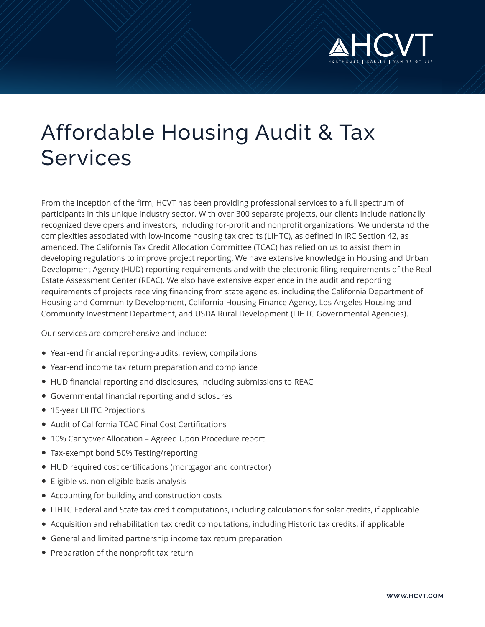

## Affordable Housing Audit & Tax Services

From the inception of the firm, HCVT has been providing professional services to a full spectrum of participants in this unique industry sector. With over 300 separate projects, our clients include nationally recognized developers and investors, including for-profit and nonprofit organizations. We understand the complexities associated with low-income housing tax credits (LIHTC), as defined in IRC Section 42, as amended. The California Tax Credit Allocation Committee (TCAC) has relied on us to assist them in developing regulations to improve project reporting. We have extensive knowledge in Housing and Urban Development Agency (HUD) reporting requirements and with the electronic filing requirements of the Real Estate Assessment Center (REAC). We also have extensive experience in the audit and reporting requirements of projects receiving financing from state agencies, including the California Department of Housing and Community Development, California Housing Finance Agency, Los Angeles Housing and Community Investment Department, and USDA Rural Development (LIHTC Governmental Agencies).

Our services are comprehensive and include:

- Year-end financial reporting-audits, review, compilations
- Year-end income tax return preparation and compliance
- HUD financial reporting and disclosures, including submissions to REAC
- Governmental financial reporting and disclosures
- 15-year LIHTC Projections
- Audit of California TCAC Final Cost Certifications
- 10% Carryover Allocation Agreed Upon Procedure report
- Tax-exempt bond 50% Testing/reporting
- HUD required cost certifications (mortgagor and contractor)
- Eligible vs. non-eligible basis analysis
- Accounting for building and construction costs
- LIHTC Federal and State tax credit computations, including calculations for solar credits, if applicable
- Acquisition and rehabilitation tax credit computations, including Historic tax credits, if applicable
- General and limited partnership income tax return preparation
- Preparation of the nonprofit tax return